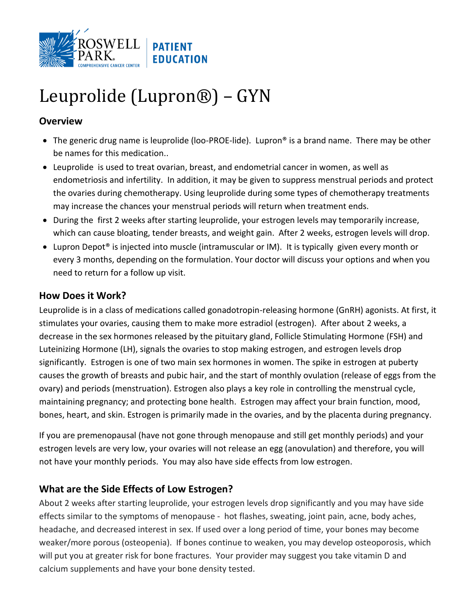

# Leuprolide (Lupron®) – GYN

### **Overview**

- The generic drug name is leuprolide (loo-PROE-lide). Lupron® is a brand name. There may be other be names for this medication..
- Leuprolide is used to treat ovarian, breast, and endometrial cancer in women, as well as endometriosis and infertility. In addition, it may be given to suppress menstrual periods and protect the ovaries during chemotherapy. Using leuprolide during some types of chemotherapy treatments may increase the chances your menstrual periods will return when treatment ends.
- During the first 2 weeks after starting leuprolide, your estrogen levels may temporarily increase, which can cause bloating, tender breasts, and weight gain. After 2 weeks, estrogen levels will drop.
- Lupron Depot® is injected into muscle (intramuscular or IM). It is typically given every month or every 3 months, depending on the formulation. Your doctor will discuss your options and when you need to return for a follow up visit.

#### **How Does it Work?**

Leuprolide is in a class of medications called gonadotropin-releasing hormone (GnRH) agonists. At first, it stimulates your ovaries, causing them to make more estradiol (estrogen). After about 2 weeks, a decrease in the sex hormones released by the pituitary gland, Follicle Stimulating Hormone (FSH) and Luteinizing Hormone (LH), signals the ovaries to stop making estrogen, and estrogen levels drop significantly. Estrogen is one of two main sex hormones in women. The spike in estrogen at puberty causes the growth of breasts and pubic hair, and the start of monthly ovulation (release of eggs from the ovary) and periods (menstruation). Estrogen also plays a key role in controlling the menstrual cycle, maintaining pregnancy; and protecting bone health. Estrogen may affect your brain function, mood, bones, heart, and skin. Estrogen is primarily made in the ovaries, and by the placenta during pregnancy.

If you are premenopausal (have not gone through menopause and still get monthly periods) and your estrogen levels are very low, your ovaries will not release an egg (anovulation) and therefore, you will not have your monthly periods. You may also have side effects from low estrogen.

## **What are the Side Effects of Low Estrogen?**

About 2 weeks after starting leuprolide, your estrogen levels drop significantly and you may have side effects similar to the symptoms of menopause - hot flashes, sweating, joint pain, acne, body aches, headache, and decreased interest in sex. If used over a long period of time, your bones may become weaker/more porous (osteopenia). If bones continue to weaken, you may develop osteoporosis, which will put you at greater risk for bone fractures. Your provider may suggest you take vitamin D and calcium supplements and have your bone density tested.